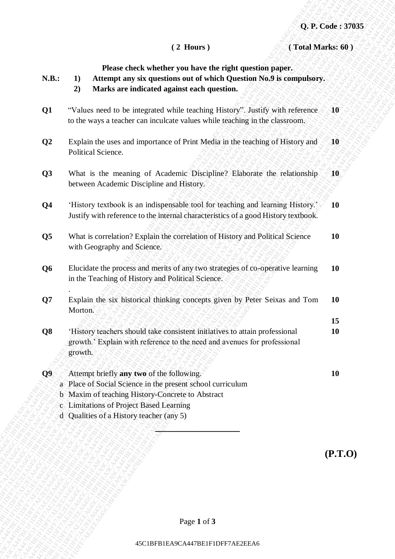| (Total Marks: 60)<br>$(2$ Hours)<br>Please check whether you have the right question paper.<br>N.B.:<br>Attempt any six questions out of which Question No.9 is compulsory.<br>1)<br>Marks are indicated against each question.<br>2)<br>"Values need to be integrated while teaching History". Justify with reference<br>${\bf 10}$<br>Q1<br>to the ways a teacher can inculcate values while teaching in the classroom.<br>$\mathbf{Q2}$<br>Explain the uses and importance of Print Media in the teaching of History and<br>${\bf 40}$<br>Political Science.<br>What is the meaning of Academic Discipline? Elaborate the relationship<br>Q3<br>10<<br>between Academic Discipline and History.<br>'History textbook is an indispensable tool for teaching and learning History.'<br>Q <sub>4</sub><br><b>10</b><br>Justify with reference to the internal characteristics of a good History textbook.<br>What is correlation? Explain the correlation of History and Political Science<br>Q <sub>5</sub><br>10<br>with Geography and Science.<br>Elucidate the process and merits of any two strategies of co-operative learning<br>Q <sub>6</sub><br><b>10</b><br>in the Teaching of History and Political Science.<br>Explain the six historical thinking concepts given by Peter Seixas and Tom<br>Q7<br><b>10</b><br>Morton.<br>15<br>'History teachers should take consistent initiatives to attain professional<br>Q <sub>8</sub><br>10<br>growth.' Explain with reference to the need and avenues for professional<br>growth.<br>Attempt briefly any two of the following.<br>Q <sub>9</sub><br>10<br>a Place of Social Science in the present school curriculum<br>b Maxim of teaching History-Concrete to Abstract<br>c Limitations of Project Based Learning<br>d Qualities of a History teacher (any 5)<br>(P.T.0) |  |                                  | Q. P. Code: 37035 |
|-----------------------------------------------------------------------------------------------------------------------------------------------------------------------------------------------------------------------------------------------------------------------------------------------------------------------------------------------------------------------------------------------------------------------------------------------------------------------------------------------------------------------------------------------------------------------------------------------------------------------------------------------------------------------------------------------------------------------------------------------------------------------------------------------------------------------------------------------------------------------------------------------------------------------------------------------------------------------------------------------------------------------------------------------------------------------------------------------------------------------------------------------------------------------------------------------------------------------------------------------------------------------------------------------------------------------------------------------------------------------------------------------------------------------------------------------------------------------------------------------------------------------------------------------------------------------------------------------------------------------------------------------------------------------------------------------------------------------------------------------------------------------------------------------------------------------------------|--|----------------------------------|-------------------|
|                                                                                                                                                                                                                                                                                                                                                                                                                                                                                                                                                                                                                                                                                                                                                                                                                                                                                                                                                                                                                                                                                                                                                                                                                                                                                                                                                                                                                                                                                                                                                                                                                                                                                                                                                                                                                                   |  |                                  |                   |
|                                                                                                                                                                                                                                                                                                                                                                                                                                                                                                                                                                                                                                                                                                                                                                                                                                                                                                                                                                                                                                                                                                                                                                                                                                                                                                                                                                                                                                                                                                                                                                                                                                                                                                                                                                                                                                   |  |                                  |                   |
|                                                                                                                                                                                                                                                                                                                                                                                                                                                                                                                                                                                                                                                                                                                                                                                                                                                                                                                                                                                                                                                                                                                                                                                                                                                                                                                                                                                                                                                                                                                                                                                                                                                                                                                                                                                                                                   |  |                                  |                   |
|                                                                                                                                                                                                                                                                                                                                                                                                                                                                                                                                                                                                                                                                                                                                                                                                                                                                                                                                                                                                                                                                                                                                                                                                                                                                                                                                                                                                                                                                                                                                                                                                                                                                                                                                                                                                                                   |  |                                  |                   |
|                                                                                                                                                                                                                                                                                                                                                                                                                                                                                                                                                                                                                                                                                                                                                                                                                                                                                                                                                                                                                                                                                                                                                                                                                                                                                                                                                                                                                                                                                                                                                                                                                                                                                                                                                                                                                                   |  |                                  |                   |
|                                                                                                                                                                                                                                                                                                                                                                                                                                                                                                                                                                                                                                                                                                                                                                                                                                                                                                                                                                                                                                                                                                                                                                                                                                                                                                                                                                                                                                                                                                                                                                                                                                                                                                                                                                                                                                   |  |                                  |                   |
|                                                                                                                                                                                                                                                                                                                                                                                                                                                                                                                                                                                                                                                                                                                                                                                                                                                                                                                                                                                                                                                                                                                                                                                                                                                                                                                                                                                                                                                                                                                                                                                                                                                                                                                                                                                                                                   |  |                                  |                   |
|                                                                                                                                                                                                                                                                                                                                                                                                                                                                                                                                                                                                                                                                                                                                                                                                                                                                                                                                                                                                                                                                                                                                                                                                                                                                                                                                                                                                                                                                                                                                                                                                                                                                                                                                                                                                                                   |  |                                  |                   |
|                                                                                                                                                                                                                                                                                                                                                                                                                                                                                                                                                                                                                                                                                                                                                                                                                                                                                                                                                                                                                                                                                                                                                                                                                                                                                                                                                                                                                                                                                                                                                                                                                                                                                                                                                                                                                                   |  |                                  |                   |
|                                                                                                                                                                                                                                                                                                                                                                                                                                                                                                                                                                                                                                                                                                                                                                                                                                                                                                                                                                                                                                                                                                                                                                                                                                                                                                                                                                                                                                                                                                                                                                                                                                                                                                                                                                                                                                   |  |                                  |                   |
|                                                                                                                                                                                                                                                                                                                                                                                                                                                                                                                                                                                                                                                                                                                                                                                                                                                                                                                                                                                                                                                                                                                                                                                                                                                                                                                                                                                                                                                                                                                                                                                                                                                                                                                                                                                                                                   |  |                                  |                   |
|                                                                                                                                                                                                                                                                                                                                                                                                                                                                                                                                                                                                                                                                                                                                                                                                                                                                                                                                                                                                                                                                                                                                                                                                                                                                                                                                                                                                                                                                                                                                                                                                                                                                                                                                                                                                                                   |  |                                  |                   |
|                                                                                                                                                                                                                                                                                                                                                                                                                                                                                                                                                                                                                                                                                                                                                                                                                                                                                                                                                                                                                                                                                                                                                                                                                                                                                                                                                                                                                                                                                                                                                                                                                                                                                                                                                                                                                                   |  | Page 1 of 3                      |                   |
|                                                                                                                                                                                                                                                                                                                                                                                                                                                                                                                                                                                                                                                                                                                                                                                                                                                                                                                                                                                                                                                                                                                                                                                                                                                                                                                                                                                                                                                                                                                                                                                                                                                                                                                                                                                                                                   |  | 45C1BFB1EA9CA447BE1F1DFF7AE2EEA6 |                   |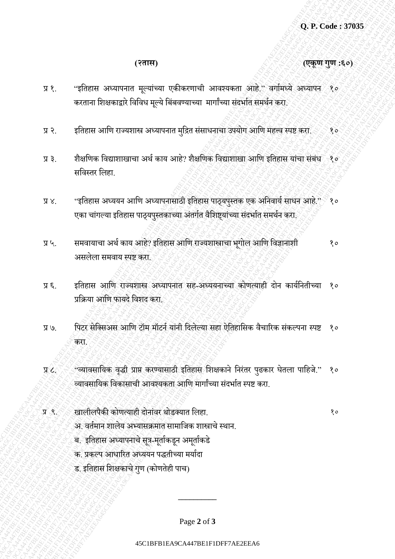**(२तास) (एकूण गुण :६०)**

- 45C1 Control Commons (commons)<br>
45C1 The control control of the control of the control of the control of the control of the control of the control of the control of the control of the control of the control of the contr 45C1BFF7<br>
45 C<sub>1</sub> The control of the control of the control of the control of the control of the control of the control of the control of the control of the control of the control of the control of the control of the cont 45CH (25 CH (37 CH)<br>
45CH (4 CH (4 CH (4 CH (4 CH (4 CH (4 CH (4 CH (4 CH (4 CH (4 CH (4 CH (4 CH (4 CH (4 CH (4 CH (4 CH (4 CH (4 CH (4 CH (4 CH (4 CH (4 CH (4 CH (4 CH (4 CH (4 CH (4 CH (4 CH (4 CH (4 CH (4 CH (4 CH (4 45C1 Control (2019)<br>
44C1BFF7 APVIC THE CONFERENCE CONFERENCE SUBMISSION CONFERENCE 31<br>
44C1 APPIND CONFERENCE CONFERENCE SUBMISSION CONFERENCE 44C<br>
43C1 APPIND CONFERENCE CONFERENCE SUBMISSION CONFERENCE ACT<br>
43C1 APPIN (CRITER)<br>
475CHE SCHEIFFRAE2EEA647BE1F1DFF7AE2EEA647BE1F1DFF7AE2EEA<br>
45CHE SCHEIFFRAE2EEA647BE1F1DFF7AE2EEA647BE1F1DFF7AE2EEA647BE1F1DFF7AE2EEA<br>
45CHE SCHEIFFRAE2EEA647BE1F1DFF7AE2EEA647BE1F1DFF7AE2EEA<br>
45CHE SCHEIFFRAE2E 45C1BFF7<br>
45C1BF1 EAGENEEREAFF1AE2EEAFF1AE2EEAFF1AE2EEAFF1AE2EEAFF1AE2EEAFF1AE2EEAFF1AE2EEAFF1AE2EEAFF1AE2EEAFF1AE2EEAFF1AE2EEAFF1AE2EEAFF1AE2EEAFF1AE2EEAFF1AE2EEAFF1AE2EEAFF1AE2EEAFF1AE2EEAFF1AE2EEAFF1AE2EEAFF1AE2EEAFF1A 45C1<br>First Content of the Content of Content of the Content of the Content of the Content of the Content of the Content of the Content of the Content of the Content of the Content of the Content of the Content of the Cont 45C1<br>First Content of the Content of Content of the Content of the Content of the Content of the Content of the Content of the Content of the Content of the Content of the Content of the Content of the Content of the Cont 45C1<br>First Content of the Content of Content of the Content of the Content of the Content of the Content of the Content of the Content of the Content of the Content of the Content of the Content of the Content of the Cont 45C1<br>First Content of the Content of Content of the Content of the Content of the Content of the Content of the Content of the Content of the Content of the Content of the Content of the Content of the Content of the Cont 45C1<br>First Content of the Content of Content of the Content of the Content of the Content of the Content of the Content of the Content of the Content of the Content of the Content of the Content of the Content of the Cont 45C1<br>First Content of the Content of Content of the Content of the Content of the Content of the Content of the Content of the Content of the Content of the Content of the Content of the Content of the Content of the Cont 45C1<br>First Content of the Content of Content of the Content of the Content of the Content of the Content of the Content of the Content of the Content of the Content of the Content of the Content of the Content of the Cont 45C1BFB1EA9CA447BE1F1DFF7AE2EEA645C1BFB1EA9CA447BE1F1DFF7AE2EEA645C1BFB1EA9CA447BE1F1DFF7AE2EEA645C1BFB1EA9CA447BE1F1DFF7AE2EEA645C1BFB1EA9CA447BE1F1DFF7AE2EEA645C1BFB1EA9CA447BE1F1DFF7AE2EEA6 45C1BFF7<br>
45C1BF1 AFTERFRAE2EEA645C1BF81EA9CA447BE1F1DFF7AE2EEA645C1BF7<br>
45C1BFF7AE2EEA645C1BFF7AE2EEA645C1BF81EA7EEA7EEA7EEAFF1AE2EEA7EEAFF1AE2EEA<br>
46C25C1BFF7AE2EEA7EEAFF1AE2EEAFF1AE2EEAFF1AE2EEAFF1AE2EEAFF1AE2EEAFF1AE2 45 C. P. Cudae strategy (2) P. Cudae strategy (2) P. Cudae strategy (2) (2) P. Cudae strategy (2) P. Cudae strategy (2) P. Cudae strategy (2) P. Cudae strategy (2) P. Cudae strategy (2) P. Current and the strategy of the 45C1BF61<br>
45C1BFB1EA9CA447BE1F1DFF7AE2EEA647BE1F1DFF7AE2EEA645C1BFF7AE2EEA<br>
43. applies and in contents are interesting to the statement and interesting and interesting and interesting<br>
43. applies a substitution of the 45C1BF1<br>
45C1BFF7AE2EEA647BE1F1DFF7AE2EEA647BE1F1DFF7AE2EEA645C1BFF7AE2EEA645C1BFF7AE2EEA645C1BF7AE2EEA645C1BF7AE2EEA645C1BF7AE2EEA645C1BF7AE2EEA645C1BF7AE2EEA645C1BF7AE2EEA645C1BF7AE2EEA645C1BF7AE2EEA645C1BF7AE2EEA645C1B 45C1BFB1EA9CA447BE1F1DFF7AE2EEA645C1BFF7AFF7AE2EEA645C1BF7AE2EEA645C1BFF7AE2EEA645C1BFF7AE2EEA645C1BFF7AE2EEA645C1BFF7AE2EEA645C1BFF7AE2EEA645C1BFF7AE2EEA645C1BF7AE2EEA645C1BF7AE2EEA645C1BF7AE2EEA645C1BFF7AE2EEA645C1BF7A 45C1BFB1F10F1DFF7AE2EEA645C1BFB1EA9CA47BE1F1DFF7AE2EEA645C1BF7AE2EEA45C1BF7AE2EEA45C1BF7AE2EEA645C1BFF7AE2EEA45C1BF7AE2EEA647BE1F1DF7AE2EEA45C1BFF7AE2EEA76C1BF7AE2EEA76C1BFF7AE2EEA76C1BF7AE2EEA76C1BF7AE2EEA76C1BF7AE2EEA7 प्र १. "इतिहास अध्यापनात मूल्यांच्या एकीकरणाची आवश्यकता आहे.'' वर्गामध्ये अध्यापन १० करताना शिक्षकाद्वारे विविध मूल्ये बिंबवण्याच्या मार्गांच्या संदर्भात समर्थन करा.
	- प्र २. इतिहास आणि राज्यशास्त्र अध्यापनात मुद्रित संसाधनाचा उपयोग आणि महत्त्व स्पष्ट करा. ४०१
	- प्र ३. शैक्षणिक विद्याशाखाचा अर्थ काय आहे? शैक्षणिक विद्याशाखा आणि इतिहास यांचा संबंध १० सविस्तर लिहा
	- प्र ४. "इतिहास अध्ययन आणि अध्यापनासाठी इतिहास पाठ्यपुस्तक एक अनिवार्य साधन आहे." ९० एका चांगल्या इतिहास पाठ्यपुस्तकाच्या अंतर्गत वैशिष्ट्यांच्या संदर्भात समर्थन करा.
	- प्र ५. समवायाचा अर्थ काय आहे? इतिहास आणि राज्यशास्त्राचा भूगोल आणि विज्ञानाशी असलेला समवाय स्पष्ट करा. १०
	- प्र ६. व्हितहास आणि राज्यशास्त्र अध्यापनात सह-अध्ययनाच्या कोणत्याही दोन कार्यनितीच्या प्रतिया आतण फायदे तविद करा. १०
	- प्र ७. त्यादिर सेक्सिअस आणि टॉम मॉटर्न यांनी दिलेल्या सहा ऐतिहासिक वैचारिक संकल्पना स्पष्ट करा. १०
	- प्र ८.  $\sim$  "व्यावसायिक वृद्धी प्राप्त करण्यासाठी इतिहास शिक्षकाने निरंतर पुढकार घेतला पाहिजे." व्यावसातयक तवकासाची आवश्यकिा आतण मार्ाांच्या सांदर्ािा स्पष्ट करा. १०
	- प्र ९.  $\sim$ ाबालीलपैकी कोणत्याही दोनांवर थोडक्यात लिहा. १० व्यां स्थापि तिहा. १० व्यां स्थापि १० व्यां स्थापि त
		-
- अ. वर्तमान शालेय अभ्यासक्रमात सामाजिक शास्त्राचे स्थान.
- ब. इतिहास अध्यापनाचे सूत्र-मूर्ताकडून अमूर्ताकडे
- क. प्रकल्प आधारित अध्ययन पद्धतीच्या मर्यादा
- ड. इतिहास शिक्षकाचे गुण (कोणतेही पाच)

Page **2** of **3**

**\_\_\_\_\_\_\_\_\_\_**

## 45C1BFB1EA9CA447BE1F1DFF7AE2EEA6